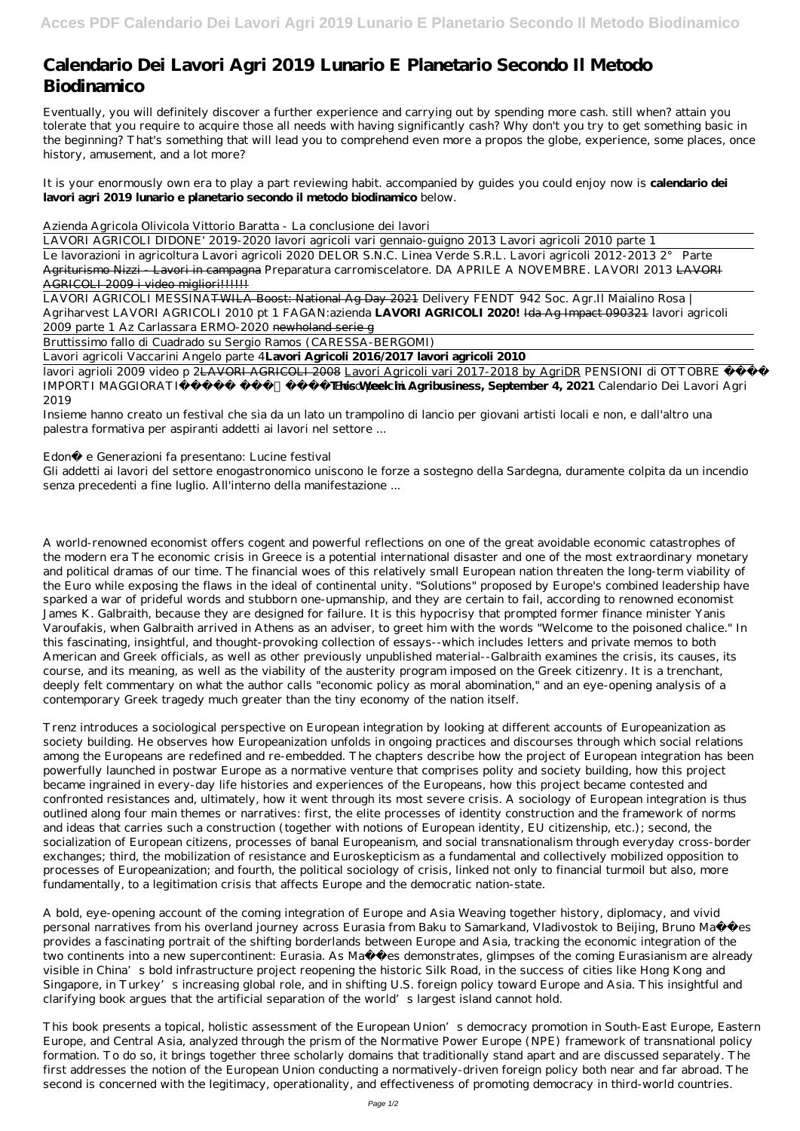## **Calendario Dei Lavori Agri 2019 Lunario E Planetario Secondo Il Metodo Biodinamico**

Eventually, you will definitely discover a further experience and carrying out by spending more cash. still when? attain you tolerate that you require to acquire those all needs with having significantly cash? Why don't you try to get something basic in the beginning? That's something that will lead you to comprehend even more a propos the globe, experience, some places, once history, amusement, and a lot more?

Le lavorazioni in agricoltura Lavori agricoli 2020 DELOR S.N.C. Linea Verde S.R.L. Lavori agricoli 2012-2013 2° Parte Agriturismo Nizzi - Lavori in campagna *Preparatura carromiscelatore.* DA APRILE A NOVEMBRE. LAVORI 2013 LAVORI AGRICOLI 2009 i video migliori!!!!!!!

It is your enormously own era to play a part reviewing habit. accompanied by guides you could enjoy now is **calendario dei lavori agri 2019 lunario e planetario secondo il metodo biodinamico** below.

*Azienda Agricola Olivicola Vittorio Baratta - La conclusione dei lavori*

LAVORI AGRICOLI DIDONE' 2019-2020 lavori agricoli vari gennaio-guigno 2013 *Lavori agricoli 2010 parte 1*

LAVORI AGRICOLI MESSINATWILA Boost: National Ag Day 2021 *Delivery FENDT 942 Soc. Agr.Il Maialino Rosa | Agriharvest* LAVORI AGRICOLI 2010 pt 1 *FAGAN:azienda* **LAVORI AGRICOLI 2020!** Ida Ag Impact 090321 *lavori agricoli 2009 parte 1 Az Carlassara ERMO-2020* newholand serie g

Bruttissimo fallo di Cuadrado su Sergio Ramos (CARESSA-BERGOMI)

Lavori agricoli Vaccarini Angelo parte 4**Lavori Agricoli 2016/2017 lavori agricoli 2010**

lavori agrioli 2009 video p 2LAVORI AGRICOLI 2008 Lavori Agricoli vari 2017-2018 by AgriDR *PENSIONI di OTTOBRE IMPORTI MAGGIORATI* Ecco per c**hibis Week in Agribusiness, September 4, 2021** Calendario Dei Lavori Agri 2019

Insieme hanno creato un festival che sia da un lato un trampolino di lancio per giovani artisti locali e non, e dall'altro una palestra formativa per aspiranti addetti ai lavori nel settore ...

Edonè e Generazioni fa presentano: Lucine festival

Gli addetti ai lavori del settore enogastronomico uniscono le forze a sostegno della Sardegna, duramente colpita da un incendio senza precedenti a fine luglio. All'interno della manifestazione ...

A bold, eye-opening account of the coming integration of Europe and Asia Weaving together history, diplomacy, and vivid personal narratives from his overland journey across Eurasia from Baku to Samarkand, Vladivostok to Beijing, Bruno Maçães provides a fascinating portrait of the shifting borderlands between Europe and Asia, tracking the economic integration of the two continents into a new supercontinent: Eurasia. As Maçães demonstrates, glimpses of the coming Eurasianism are already visible in China's bold infrastructure project reopening the historic Silk Road, in the success of cities like Hong Kong and Singapore, in Turkey's increasing global role, and in shifting U.S. foreign policy toward Europe and Asia. This insightful and clarifying book argues that the artificial separation of the world's largest island cannot hold.

A world-renowned economist offers cogent and powerful reflections on one of the great avoidable economic catastrophes of the modern era The economic crisis in Greece is a potential international disaster and one of the most extraordinary monetary and political dramas of our time. The financial woes of this relatively small European nation threaten the long-term viability of the Euro while exposing the flaws in the ideal of continental unity. "Solutions" proposed by Europe's combined leadership have sparked a war of prideful words and stubborn one-upmanship, and they are certain to fail, according to renowned economist James K. Galbraith, because they are designed for failure. It is this hypocrisy that prompted former finance minister Yanis Varoufakis, when Galbraith arrived in Athens as an adviser, to greet him with the words "Welcome to the poisoned chalice." In this fascinating, insightful, and thought-provoking collection of essays--which includes letters and private memos to both American and Greek officials, as well as other previously unpublished material--Galbraith examines the crisis, its causes, its course, and its meaning, as well as the viability of the austerity program imposed on the Greek citizenry. It is a trenchant, deeply felt commentary on what the author calls "economic policy as moral abomination," and an eye-opening analysis of a contemporary Greek tragedy much greater than the tiny economy of the nation itself.

Trenz introduces a sociological perspective on European integration by looking at different accounts of Europeanization as society building. He observes how Europeanization unfolds in ongoing practices and discourses through which social relations among the Europeans are redefined and re-embedded. The chapters describe how the project of European integration has been powerfully launched in postwar Europe as a normative venture that comprises polity and society building, how this project became ingrained in every-day life histories and experiences of the Europeans, how this project became contested and confronted resistances and, ultimately, how it went through its most severe crisis. A sociology of European integration is thus outlined along four main themes or narratives: first, the elite processes of identity construction and the framework of norms and ideas that carries such a construction (together with notions of European identity, EU citizenship, etc.); second, the socialization of European citizens, processes of banal Europeanism, and social transnationalism through everyday cross-border exchanges; third, the mobilization of resistance and Euroskepticism as a fundamental and collectively mobilized opposition to processes of Europeanization; and fourth, the political sociology of crisis, linked not only to financial turmoil but also, more fundamentally, to a legitimation crisis that affects Europe and the democratic nation-state.

This book presents a topical, holistic assessment of the European Union's democracy promotion in South-East Europe, Eastern Europe, and Central Asia, analyzed through the prism of the Normative Power Europe (NPE) framework of transnational policy formation. To do so, it brings together three scholarly domains that traditionally stand apart and are discussed separately. The first addresses the notion of the European Union conducting a normatively-driven foreign policy both near and far abroad. The second is concerned with the legitimacy, operationality, and effectiveness of promoting democracy in third-world countries.